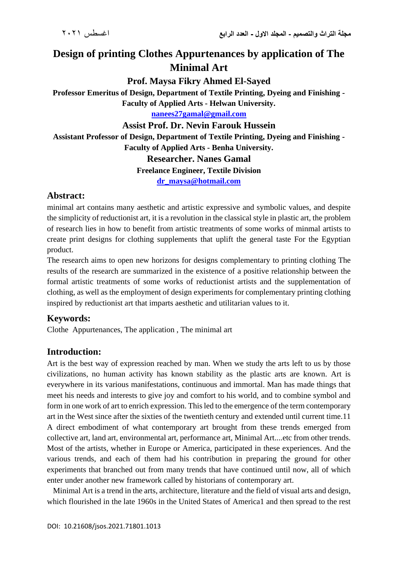# **Design of printing Clothes Appurtenances by application of The Minimal Art**

**Prof. Maysa Fikry Ahmed El-Sayed**

**Professor Emeritus of Design, Department of Textile Printing, Dyeing and Finishing - Faculty of Applied Arts - Helwan University.**

**[nanees27gamal@gmail.com](mailto:nanees27gamal@gmail.com)**

#### **Assist Prof. Dr. Nevin Farouk Hussein**

**Assistant Professor of Design, Department of Textile Printing, Dyeing and Finishing - Faculty of Applied Arts - Benha University. Researcher. Nanes Gamal Freelance Engineer, Textile Division**

**[dr\\_maysa@hotmail.com](mailto:dr_maysa@hotmail.com)**

# **Abstract:**

minimal art contains many aesthetic and artistic expressive and symbolic values, and despite the simplicity of reductionist art, it is a revolution in the classical style in plastic art, the problem of research lies in how to benefit from artistic treatments of some works of minmal artists to create print designs for clothing supplements that uplift the general taste For the Egyptian product.

The research aims to open new horizons for designs complementary to printing clothing The results of the research are summarized in the existence of a positive relationship between the formal artistic treatments of some works of reductionist artists and the supplementation of clothing, as well as the employment of design experiments for complementary printing clothing inspired by reductionist art that imparts aesthetic and utilitarian values to it.

## **Keywords:**

Clothe Appurtenances, The application , The minimal art

## **Introduction:**

Art is the best way of expression reached by man. When we study the arts left to us by those civilizations, no human activity has known stability as the plastic arts are known. Art is everywhere in its various manifestations, continuous and immortal. Man has made things that meet his needs and interests to give joy and comfort to his world, and to combine symbol and form in one work of art to enrich expression. This led to the emergence of the term contemporary art in the West since after the sixties of the twentieth century and extended until current time.11 A direct embodiment of what contemporary art brought from these trends emerged from collective art, land art, environmental art, performance art, Minimal Art....etc from other trends. Most of the artists, whether in Europe or America, participated in these experiences. And the various trends, and each of them had his contribution in preparing the ground for other experiments that branched out from many trends that have continued until now, all of which enter under another new framework called by historians of contemporary art.

 Minimal Art is a trend in the arts, architecture, literature and the field of visual arts and design, which flourished in the late 1960s in the United States of America1 and then spread to the rest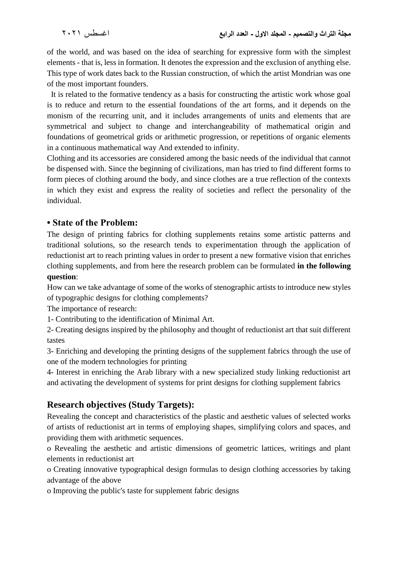of the world, and was based on the idea of searching for expressive form with the simplest elements - that is, less in formation. It denotes the expression and the exclusion of anything else. This type of work dates back to the Russian construction, of which the artist Mondrian was one of the most important founders.

 It is related to the formative tendency as a basis for constructing the artistic work whose goal is to reduce and return to the essential foundations of the art forms, and it depends on the monism of the recurring unit, and it includes arrangements of units and elements that are symmetrical and subject to change and interchangeability of mathematical origin and foundations of geometrical grids or arithmetic progression, or repetitions of organic elements in a continuous mathematical way And extended to infinity.

Clothing and its accessories are considered among the basic needs of the individual that cannot be dispensed with. Since the beginning of civilizations, man has tried to find different forms to form pieces of clothing around the body, and since clothes are a true reflection of the contexts in which they exist and express the reality of societies and reflect the personality of the individual.

### **• State of the Problem:**

The design of printing fabrics for clothing supplements retains some artistic patterns and traditional solutions, so the research tends to experimentation through the application of reductionist art to reach printing values in order to present a new formative vision that enriches clothing supplements, and from here the research problem can be formulated **in the following question**:

How can we take advantage of some of the works of stenographic artists to introduce new styles of typographic designs for clothing complements?

The importance of research:

1- Contributing to the identification of Minimal Art.

2- Creating designs inspired by the philosophy and thought of reductionist art that suit different tastes

3- Enriching and developing the printing designs of the supplement fabrics through the use of one of the modern technologies for printing

4- Interest in enriching the Arab library with a new specialized study linking reductionist art and activating the development of systems for print designs for clothing supplement fabrics

# **Research objectives (Study Targets):**

Revealing the concept and characteristics of the plastic and aesthetic values of selected works of artists of reductionist art in terms of employing shapes, simplifying colors and spaces, and providing them with arithmetic sequences.

o Revealing the aesthetic and artistic dimensions of geometric lattices, writings and plant elements in reductionist art

o Creating innovative typographical design formulas to design clothing accessories by taking advantage of the above

o Improving the public's taste for supplement fabric designs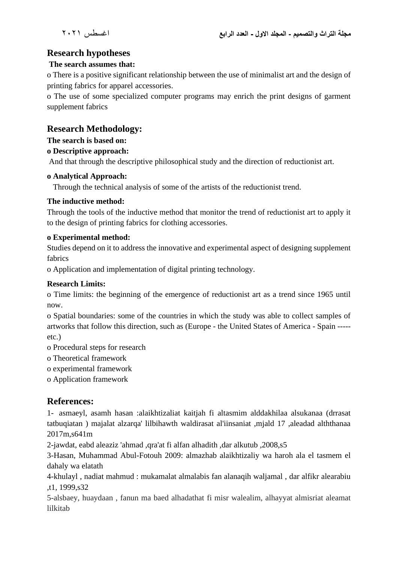# **Research hypotheses**

#### **The search assumes that:**

o There is a positive significant relationship between the use of minimalist art and the design of printing fabrics for apparel accessories.

o The use of some specialized computer programs may enrich the print designs of garment supplement fabrics

### **Research Methodology:**

**The search is based on:**

#### **o Descriptive approach:**

And that through the descriptive philosophical study and the direction of reductionist art.

#### **o Analytical Approach:**

Through the technical analysis of some of the artists of the reductionist trend.

#### **The inductive method:**

Through the tools of the inductive method that monitor the trend of reductionist art to apply it to the design of printing fabrics for clothing accessories.

#### **o Experimental method:**

Studies depend on it to address the innovative and experimental aspect of designing supplement fabrics

o Application and implementation of digital printing technology.

#### **Research Limits:**

o Time limits: the beginning of the emergence of reductionist art as a trend since 1965 until now.

o Spatial boundaries: some of the countries in which the study was able to collect samples of artworks that follow this direction, such as (Europe - the United States of America - Spain ---- etc.)

o Procedural steps for research

o Theoretical framework

o experimental framework

o Application framework

#### **References:**

1- asmaeyl, asamh hasan :alaikhtizaliat kaitjah fi altasmim alddakhilaa alsukanaa (drrasat tatbuqiatan ) majalat alzarqa' lilbihawth waldirasat al'iinsaniat ,mjald 17 ,aleadad alththanaa 2017m,s641m

2-jawdat, eabd aleaziz 'ahmad ,qra'at fi alfan alhadith ,dar alkutub ,2008,s5

3-Hasan, Muhammad Abul-Fotouh 2009: almazhab alaikhtizaliy wa haroh ala el tasmem el dahaly wa elatath

4-khulayl , nadiat mahmud : mukamalat almalabis fan alanaqih waljamal , dar alfikr alearabiu ,t1, 1999,s32

5-alsbaey, huaydaan , fanun ma baed alhadathat fi misr walealim, alhayyat almisriat aleamat lilkitab